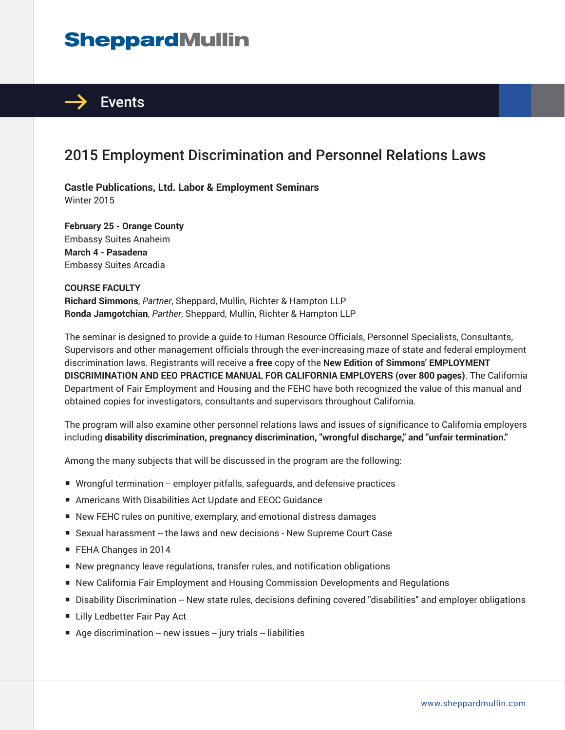# **SheppardMullin**



### 2015 Employment Discrimination and Personnel Relations Laws

**Castle Publications, Ltd. Labor & Employment Seminars** Winter 2015

**February 25 - Orange County** Embassy Suites Anaheim **March 4 - Pasadena** Embassy Suites Arcadia

#### **COURSE FACULTY**

**Richard Simmons**, *Partner*, Sheppard, Mullin, Richter & Hampton LLP **Ronda Jamgotchian**, *Parther*, Sheppard, Mullin, Richter & Hampton LLP

The seminar is designed to provide a guide to Human Resource Officials, Personnel Specialists, Consultants, Supervisors and other management officials through the ever-increasing maze of state and federal employment discrimination laws. Registrants will receive a **free** copy of the **New Edition of Simmons' EMPLOYMENT DISCRIMINATION AND EEO PRACTICE MANUAL FOR CALIFORNIA EMPLOYERS (over 800 pages)**. The California Department of Fair Employment and Housing and the FEHC have both recognized the value of this manual and obtained copies for investigators, consultants and supervisors throughout California.

The program will also examine other personnel relations laws and issues of significance to California employers including **disability discrimination, pregnancy discrimination, "wrongful discharge," and "unfair termination."**

Among the many subjects that will be discussed in the program are the following:

- Wrongful termination -- employer pitfalls, safeguards, and defensive practices
- Americans With Disabilities Act Update and EEOC Guidance
- New FEHC rules on punitive, exemplary, and emotional distress damages
- Sexual harassment -- the laws and new decisions New Supreme Court Case
- FEHA Changes in 2014
- New pregnancy leave regulations, transfer rules, and notification obligations
- New California Fair Employment and Housing Commission Developments and Regulations
- Disability Discrimination -- New state rules, decisions defining covered "disabilities" and employer obligations
- Lilly Ledbetter Fair Pay Act
- $\blacksquare$  Age discrimination -- new issues -- jury trials -- liabilities